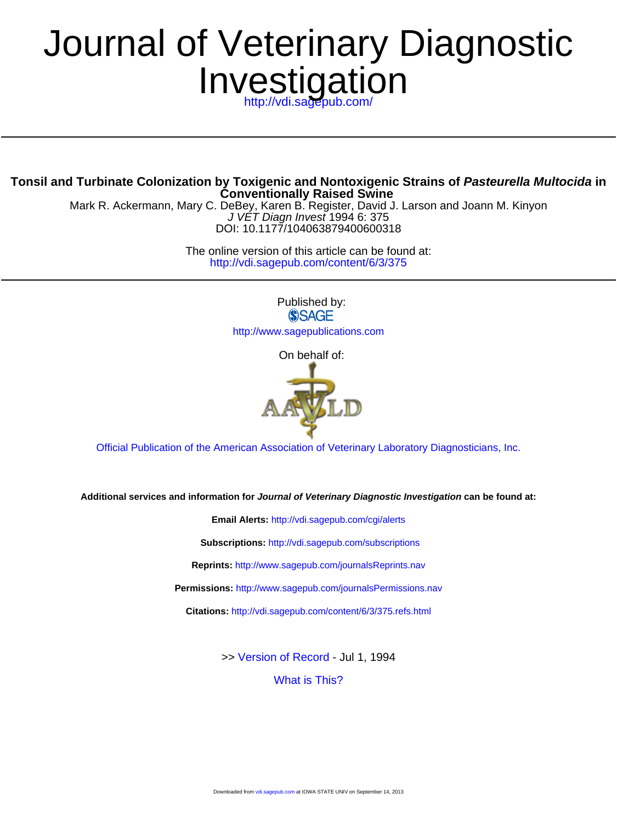# Investigation Journal of Veterinary Diagnostic

**Conventionally Raised Swine Tonsil and Turbinate Colonization by Toxigenic and Nontoxigenic Strains of Pasteurella Multocida in**

DOI: 10.1177/104063879400600318 J VET Diagn Invest 1994 6: 375 Mark R. Ackermann, Mary C. DeBey, Karen B. Register, David J. Larson and Joann M. Kinyon

> <http://vdi.sagepub.com/content/6/3/375> The online version of this article can be found at:

> > Published by:<br>
> > SAGE <http://www.sagepublications.com>

> > > On behalf of:



[Official Publication of the American Association of Veterinary Laboratory Diagnosticians, Inc.](http://www.aavld.org)

**Additional services and information for Journal of Veterinary Diagnostic Investigation can be found at:**

**Email Alerts:** <http://vdi.sagepub.com/cgi/alerts>

**Subscriptions:** <http://vdi.sagepub.com/subscriptions>

**Reprints:** <http://www.sagepub.com/journalsReprints.nav>

**Permissions:** <http://www.sagepub.com/journalsPermissions.nav>

**Citations:** <http://vdi.sagepub.com/content/6/3/375.refs.html>

>> [Version of Record -](http://vdi.sagepub.com/content/6/3/375.full.pdf) Jul 1, 1994

[What is This?](http://online.sagepub.com/site/sphelp/vorhelp.xhtml)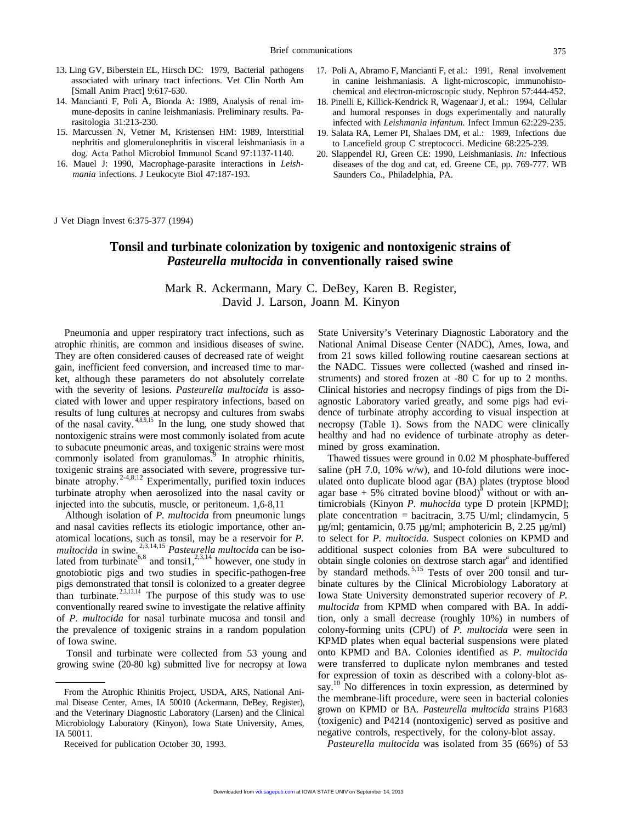- [Small Anim Pract] 9:617-630. chemical and electron-microscopic study. Nephron 57:444-452.
- 
- rasitologia 31:213-230.<br>15. Marcussen N, Vetner M, Kristensen HM: 1989, Interstitial 19. Salata RA. Lemer PI. Shalaes DM. et al.: 1989. Infections due nephritis and glomerulonephritis in visceral leishmaniasis in a to Lancefield group C streptococci. Medicine 68:225-239.<br>dog. Acta Pathol Microbiol Immunol Scand 97:1137-1140. 20. Slappendel RJ. Green CE: 1990. Leishmanias
- *mania* infections. J Leukocyte Biol 47:187-193. Saunders Co., Philadelphia, PA.
- 13. Ling GV, Biberstein EL, Hirsch DC: 1979, Bacterial pathogens 17. Poli A, Abramo F, Mancianti F, et al.: 1991, Renal involvement associated with urinary tract infections. Vet Clin North Am in canine leishmaniasis. A light-microscopic, immunohisto-
	- 18. Pinelli E, Killick-Kendrick R, Wagenaar J, et al.: 1994, Cellular mune-deposits in canine leishmaniasis. Preliminary results. Pa- and humoral responses in dogs experimentally and naturally
	- Marcussen N, Vetner M, Kristensen HM: 1989, Interstitial 19. Salata RA, Lemer PI, Shalaes DM, et al.: 1989, Infections due nephritis and glomerulonephritis in visceral leishmaniasis in a to Lancefield group C streptococci.
- dog. Acta Pathol Microbiol Immunol Scand 97:1137-1140. 20. Slappendel RJ, Green CE: 1990, Leishmaniasis. *In:* Infectious 16. Mauel J: 1990, Macrophage-parasite interactions in *Leish* diseases of the dog and cat, ed. Gree diseases of the dog and cat, ed. Greene CE, pp. 769-777. WB

J Vet Diagn Invest 6:375-377 (1994)

## **Tonsil and turbinate colonization by toxigenic and nontoxigenic strains of** *Pasteurella multocida* **in conventionally raised swine**

### Mark R. Ackermann, Mary C. DeBey, Karen B. Register, David J. Larson, Joann M. Kinyon

Pneumonia and upper respiratory tract infections, such as atrophic rhinitis, are common and insidious diseases of swine. They are often considered causes of decreased rate of weight gain, inefficient feed conversion, and increased time to market, although these parameters do not absolutely correlate with the severity of lesions. *Pasteurella multocida* is associated with lower and upper respiratory infections, based on results of lung cultures at necropsy and cultures from swabs of the nasal cavity.  $4,8,9,15$  In the lung, one study showed that nontoxigenic strains were most commonly isolated from acute to subacute pneumonic areas, and toxigenic strains were most commonly isolated from granulomas.<sup>9</sup> In atrophic rhinitis, toxigenic strains are associated with severe, progressive turbinate atrophy.<sup>2-4,8,12</sup> Experimentally, purified toxin induces turbinate atrophy when aerosolized into the nasal cavity or injected into the subcutis, muscle, or peritoneum. 1,6-8,11

Although isolation of *P. multocida* from pneumonic lungs and nasal cavities reflects its etiologic importance, other anatomical locations, such as tonsil, may be a reservoir for *P. multocida* in swine. 2,3,14,15 *Pasteurella multocida* can be isolated from turbinate<sup>6,8</sup> and tonsi1,<sup>2,3,14</sup> however, one study in gnotobiotic pigs and two studies in specific-pathogen-free pigs demonstrated that tonsil is colonized to a greater degree than turbinate.  $2^{3,13,14}$  The purpose of this study was to use conventionally reared swine to investigate the relative affinity of *P. multocida* for nasal turbinate mucosa and tonsil and the prevalence of toxigenic strains in a random population of Iowa swine.

Tonsil and turbinate were collected from 53 young and growing swine (20-80 kg) submitted live for necropsy at Iowa

State University's Veterinary Diagnostic Laboratory and the National Animal Disease Center (NADC), Ames, Iowa, and from 21 sows killed following routine caesarean sections at the NADC. Tissues were collected (washed and rinsed instruments) and stored frozen at -80 C for up to 2 months. Clinical histories and necropsy findings of pigs from the Diagnostic Laboratory varied greatly, and some pigs had evidence of turbinate atrophy according to visual inspection at necropsy (Table 1). Sows from the NADC were clinically healthy and had no evidence of turbinate atrophy as determined by gross examination.

Thawed tissues were ground in 0.02 M phosphate-buffered saline (pH 7.0, 10% w/w), and 10-fold dilutions were inoculated onto duplicate blood agar (BA) plates (tryptose blood agar base  $+5\%$  citrated bovine blood)<sup>a</sup> without or with antimicrobials (Kinyon *P. muhocida* type D protein [KPMD]; plate concentration = bacitracin, 3.75 U/ml; clindamycin, 5 µg/ml; gentamicin, 0.75 µg/ml; amphotericin B, 2.25 µg/ml) to select for *P. multocida.* Suspect colonies on KPMD and additional suspect colonies from BA were subcultured to obtain single colonies on dextrose starch agar<sup>a</sup> and identified by standard methods.<sup>5,15</sup> Tests of over 200 tonsil and turbinate cultures by the Clinical Microbiology Laboratory at Iowa State University demonstrated superior recovery of *P. multocida* from KPMD when compared with BA. In addition, only a small decrease (roughly 10%) in numbers of colony-forming units (CPU) of *P. multocida* were seen in KPMD plates when equal bacterial suspensions were plated onto KPMD and BA. Colonies identified as *P. multocida* were transferred to duplicate nylon membranes and tested for expression of toxin as described with a colony-blot assay.<sup>10</sup> No differences in toxin expression, as determined by the membrane-lift procedure, were seen in bacterial colonies grown on KPMD or BA. *Pasteurella multocida* strains P1683 (toxigenic) and P4214 (nontoxigenic) served as positive and negative controls, respectively, for the colony-blot assay.

*Pasteurella multocida* was isolated from 35 (66%) of 53

From the Atrophic Rhinitis Project, USDA, ARS, National Animal Disease Center, Ames, IA 50010 (Ackermann, DeBey, Register), and the Veterinary Diagnostic Laboratory (Larsen) and the Clinical Microbiology Laboratory (Kinyon), Iowa State University, Ames, IA 50011.

Received for publication October 30, 1993.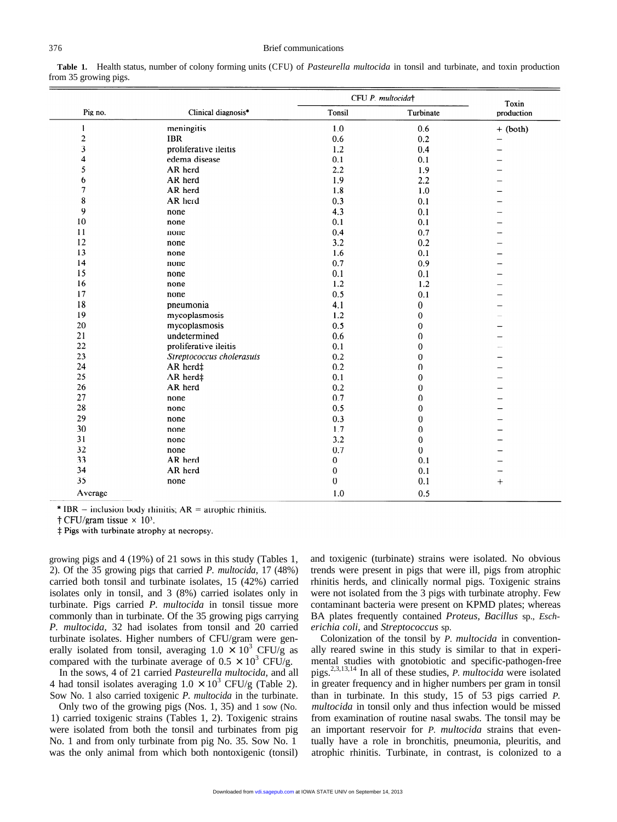|                         |                           | CFU P. multocida† |                  | Toxin      |
|-------------------------|---------------------------|-------------------|------------------|------------|
| Pig no.                 | Clinical diagnosis*       | Tonsil            | Turbinate        | production |
| 1                       | meningitis                | 1.0               | 0.6              | $+ (both)$ |
| $\boldsymbol{2}$        | <b>IBR</b>                | 0.6               | 0.2              |            |
| $\overline{\mathbf{3}}$ | proliferative ileitis     | 1.2               | 0.4              |            |
| $\overline{\mathbf{4}}$ | edema disease             | 0.1               | 0.1              |            |
| 5                       | AR herd                   | 2.2               | 1.9              |            |
| 6                       | AR herd                   | 1.9               | 2.2              |            |
| $\overline{7}$          | AR herd                   | 1.8               | 1.0              |            |
| 8                       | AR herd                   | 0.3               | 0.1              |            |
| 9                       | none                      | 4.3               | 0.1              |            |
| 10                      | none                      | 0.1               | 0.1              |            |
| 11                      | none                      | 0.4               | 0.7              |            |
| 12                      | none                      | 3.2               | 0.2              |            |
| 13                      | none                      | 1.6               | 0.1              |            |
| 14                      | none                      | 0.7               | 0.9              |            |
| 15                      | none                      | 0.1               | 0.1              |            |
| 16                      | none                      | 1.2               | 1.2              |            |
| 17                      | none                      | 0.5               | 0.1              |            |
| 18                      | pneumonia                 | 4.1               | $\bf{0}$         |            |
| 19                      | mycoplasmosis             | 1.2               | $\pmb{0}$        |            |
| 20                      | mycoplasmosis             | 0.5               | $\mathbf 0$      |            |
| 21                      | undetermined              | 0.6               | $\mathbf 0$      |            |
| 22                      | proliferative ileitis     | 0.1               | $\mathbf{0}$     |            |
| 23                      | Streptococcus cholerasuis | 0.2               | $\mathbf 0$      |            |
| 24                      | AR herd‡                  | 0.2               | 0                |            |
| 25                      | AR herd‡                  | 0.1               | $\pmb{0}$        |            |
| 26                      | AR herd                   | 0.2               | $\mathbf 0$      |            |
| 27                      | none                      | 0.7               | $\mathbf 0$      |            |
| 28                      | none                      | 0.5               | $\pmb{0}$        |            |
| 29                      | none                      | 0.3               | $\boldsymbol{0}$ |            |
| 30                      | none                      | 1.7               | $\overline{0}$   |            |
| 31                      | none                      | 3.2               | $\boldsymbol{0}$ |            |
| 32                      | none                      | 0.7               | $\mathbf{0}$     |            |
| 33                      | AR herd                   | $\bf{0}$          | 0.1              |            |
| 34                      | AR herd                   | $\boldsymbol{0}$  | 0.1              |            |
| 35                      | none                      | $\boldsymbol{0}$  | 0.1              | $^{+}$     |
| Average                 |                           | 1.0               | 0.5              |            |

**Table 1.** Health status, number of colony forming units (CFU) of *Pasteurella multocida* in tonsil and turbinate, and toxin production from 35 growing pigs.

\* IBR – inclusion body rhinitis;  $AR =$  atrophic rhinitis.

† CFU/gram tissue  $\times$  10<sup>3</sup>.

‡ Pigs with turbinate atrophy at necropsy.

growing pigs and 4 (19%) of 21 sows in this study (Tables 1, 2). Of the 35 growing pigs that carried *P. multocida,* 17 (48%) carried both tonsil and turbinate isolates, 15 (42%) carried isolates only in tonsil, and 3 (8%) carried isolates only in turbinate. Pigs carried *P. multocida* in tonsil tissue more commonly than in turbinate. Of the 35 growing pigs carrying *P. multocida,* 32 had isolates from tonsil and 20 carried turbinate isolates. Higher numbers of CFU/gram were generally isolated from tonsil, averaging  $1.0 \times 10^3$  CFU/g as compared with the turbinate average of  $0.5 \times 10^3$  CFU/g.

In the sows, 4 of 21 carried *Pasteurella multocida,* and all 4 had tonsil isolates averaging  $1.0 \times 10^3$  CFU/g (Table 2). Sow No. 1 also carried toxigenic *P. multocida* in the turbinate.

Only two of the growing pigs (Nos. 1, 35) and 1 sow (No. 1) carried toxigenic strains (Tables 1, 2). Toxigenic strains were isolated from both the tonsil and turbinates from pig No. 1 and from only turbinate from pig No. 35. Sow No. 1 was the only animal from which both nontoxigenic (tonsil)

and toxigenic (turbinate) strains were isolated. No obvious trends were present in pigs that were ill, pigs from atrophic rhinitis herds, and clinically normal pigs. Toxigenic strains were not isolated from the 3 pigs with turbinate atrophy. Few contaminant bacteria were present on KPMD plates; whereas BA plates frequently contained *Proteus, Bacillus* sp., *Escherichia coli,* and *Streptococcus* sp.

Colonization of the tonsil by *P. multocida* in conventionally reared swine in this study is similar to that in experimental studies with gnotobiotic and specific-pathogen-free pigs.2,3,13,14 In all of these studies, *P. multocida* were isolated in greater frequency and in higher numbers per gram in tonsil than in turbinate. In this study, 15 of 53 pigs carried *P. multocida* in tonsil only and thus infection would be missed from examination of routine nasal swabs. The tonsil may be an important reservoir for *P. multocida* strains that eventually have a role in bronchitis, pneumonia, pleuritis, and atrophic rhinitis. Turbinate, in contrast, is colonized to a